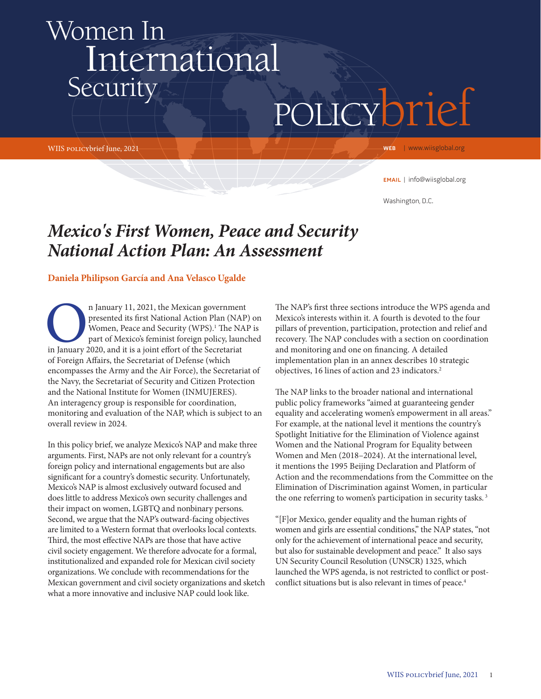# Women In International **Security**

WIIS policybrief June, 2021

policybrief

WEB | www.wiisglobal.org

email | info@wiisglobal.org

Washington, D.C.

## *Mexico's First Women, Peace and Security National Action Plan: An Assessment*

#### **Daniela Philipson García and Ana Velasco Ugalde**

n January 11, 2021, the Mexican government<br>
presented its first National Action Plan (NAP<br>
Women, Peace and Security (WPS).<sup>1</sup> The NAI<br>
part of Mexico's feminist foreign policy, launc<br>
in January 2020, and it is a joint ef presented its first National Action Plan (NAP) on Women, Peace and Security (WPS).<sup>1</sup> The NAP is part of Mexico's feminist foreign policy, launched of Foreign Affairs, the Secretariat of Defense (which encompasses the Army and the Air Force), the Secretariat of the Navy, the Secretariat of Security and Citizen Protection and the National Institute for Women (INMUJERES). An interagency group is responsible for coordination, monitoring and evaluation of the NAP, which is subject to an overall review in 2024.

In this policy brief, we analyze Mexico's NAP and make three arguments. First, NAPs are not only relevant for a country's foreign policy and international engagements but are also significant for a country's domestic security. Unfortunately, Mexico's NAP is almost exclusively outward focused and does little to address Mexico's own security challenges and their impact on women, LGBTQ and nonbinary persons. Second, we argue that the NAP's outward-facing objectives are limited to a Western format that overlooks local contexts. Third, the most effective NAPs are those that have active civil society engagement. We therefore advocate for a formal, institutionalized and expanded role for Mexican civil society organizations. We conclude with recommendations for the Mexican government and civil society organizations and sketch what a more innovative and inclusive NAP could look like.

The NAP's first three sections introduce the WPS agenda and Mexico's interests within it. A fourth is devoted to the four pillars of prevention, participation, protection and relief and recovery. The NAP concludes with a section on coordination and monitoring and one on financing. A detailed implementation plan in an annex describes 10 strategic objectives, 16 lines of action and 23 indicators.<sup>2</sup>

The NAP links to the broader national and international public policy frameworks "aimed at guaranteeing gender equality and accelerating women's empowerment in all areas." For example, at the national level it mentions the country's Spotlight Initiative for the Elimination of Violence against Women and the National Program for Equality between Women and Men (2018–2024). At the international level, it mentions the 1995 Beijing Declaration and Platform of Action and the recommendations from the Committee on the Elimination of Discrimination against Women, in particular the one referring to women's participation in security tasks.<sup>3</sup>

"[F]or Mexico, gender equality and the human rights of women and girls are essential conditions," the NAP states, "not only for the achievement of international peace and security, but also for sustainable development and peace." It also says UN Security Council Resolution (UNSCR) 1325, which launched the WPS agenda, is not restricted to conflict or postconflict situations but is also relevant in times of peace.<sup>4</sup>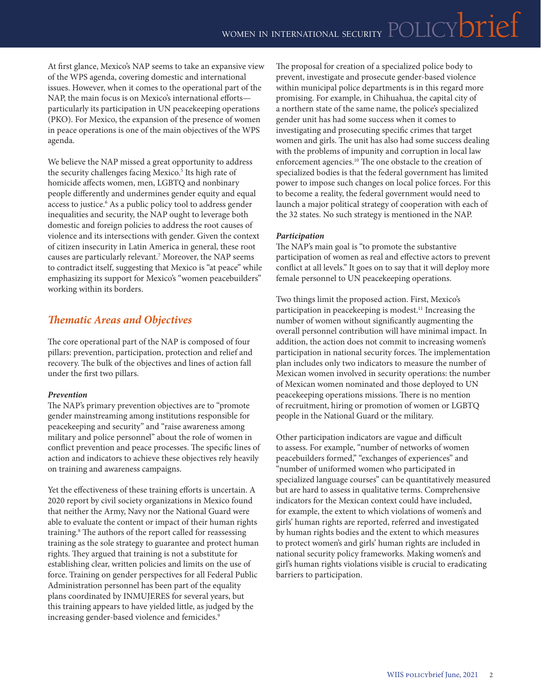At first glance, Mexico's NAP seems to take an expansive view of the WPS agenda, covering domestic and international issues. However, when it comes to the operational part of the NAP, the main focus is on Mexico's international efforts particularly its participation in UN peacekeeping operations (PKO). For Mexico, the expansion of the presence of women in peace operations is one of the main objectives of the WPS agenda.

We believe the NAP missed a great opportunity to address the security challenges facing Mexico.<sup>5</sup> Its high rate of homicide affects women, men, LGBTQ and nonbinary people differently and undermines gender equity and equal access to justice.6 As a public policy tool to address gender inequalities and security, the NAP ought to leverage both domestic and foreign policies to address the root causes of violence and its intersections with gender. Given the context of citizen insecurity in Latin America in general, these root causes are particularly relevant.7 Moreover, the NAP seems to contradict itself, suggesting that Mexico is "at peace" while emphasizing its support for Mexico's "women peacebuilders" working within its borders.

## *Thematic Areas and Objectives*

The core operational part of the NAP is composed of four pillars: prevention, participation, protection and relief and recovery. The bulk of the objectives and lines of action fall under the first two pillars.

#### *Prevention*

The NAP's primary prevention objectives are to "promote gender mainstreaming among institutions responsible for peacekeeping and security" and "raise awareness among military and police personnel" about the role of women in conflict prevention and peace processes. The specific lines of action and indicators to achieve these objectives rely heavily on training and awareness campaigns.

Yet the effectiveness of these training efforts is uncertain. A 2020 report by civil society organizations in Mexico found that neither the Army, Navy nor the National Guard were able to evaluate the content or impact of their human rights training.8 The authors of the report called for reassessing training as the sole strategy to guarantee and protect human rights. They argued that training is not a substitute for establishing clear, written policies and limits on the use of force. Training on gender perspectives for all Federal Public Administration personnel has been part of the equality plans coordinated by INMUJERES for several years, but this training appears to have yielded little, as judged by the increasing gender-based violence and femicides.<sup>9</sup>

The proposal for creation of a specialized police body to prevent, investigate and prosecute gender-based violence within municipal police departments is in this regard more promising. For example, in Chihuahua, the capital city of a northern state of the same name, the police's specialized gender unit has had some success when it comes to investigating and prosecuting specific crimes that target women and girls. The unit has also had some success dealing with the problems of impunity and corruption in local law enforcement agencies.10 The one obstacle to the creation of specialized bodies is that the federal government has limited power to impose such changes on local police forces. For this to become a reality, the federal government would need to launch a major political strategy of cooperation with each of the 32 states. No such strategy is mentioned in the NAP.

#### *Participation*

The NAP's main goal is "to promote the substantive participation of women as real and effective actors to prevent conflict at all levels." It goes on to say that it will deploy more female personnel to UN peacekeeping operations.

Two things limit the proposed action. First, Mexico's participation in peacekeeping is modest.<sup>11</sup> Increasing the number of women without significantly augmenting the overall personnel contribution will have minimal impact. In addition, the action does not commit to increasing women's participation in national security forces. The implementation plan includes only two indicators to measure the number of Mexican women involved in security operations: the number of Mexican women nominated and those deployed to UN peacekeeping operations missions. There is no mention of recruitment, hiring or promotion of women or LGBTQ people in the National Guard or the military.

Other participation indicators are vague and difficult to assess. For example, "number of networks of women peacebuilders formed," "exchanges of experiences" and "number of uniformed women who participated in specialized language courses" can be quantitatively measured but are hard to assess in qualitative terms. Comprehensive indicators for the Mexican context could have included, for example, the extent to which violations of women's and girls' human rights are reported, referred and investigated by human rights bodies and the extent to which measures to protect women's and girls' human rights are included in national security policy frameworks. Making women's and girl's human rights violations visible is crucial to eradicating barriers to participation.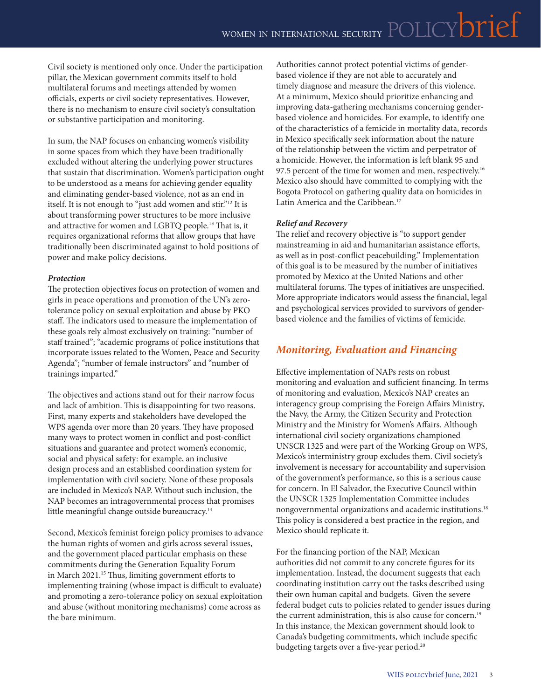Civil society is mentioned only once. Under the participation pillar, the Mexican government commits itself to hold multilateral forums and meetings attended by women officials, experts or civil society representatives. However, there is no mechanism to ensure civil society's consultation or substantive participation and monitoring.

In sum, the NAP focuses on enhancing women's visibility in some spaces from which they have been traditionally excluded without altering the underlying power structures that sustain that discrimination. Women's participation ought to be understood as a means for achieving gender equality and eliminating gender-based violence, not as an end in itself. It is not enough to "just add women and stir."12 It is about transforming power structures to be more inclusive and attractive for women and LGBTQ people.13 That is, it requires organizational reforms that allow groups that have traditionally been discriminated against to hold positions of power and make policy decisions.

#### *Protection*

The protection objectives focus on protection of women and girls in peace operations and promotion of the UN's zerotolerance policy on sexual exploitation and abuse by PKO staff. The indicators used to measure the implementation of these goals rely almost exclusively on training: "number of staff trained"; "academic programs of police institutions that incorporate issues related to the Women, Peace and Security Agenda"; "number of female instructors" and "number of trainings imparted."

The objectives and actions stand out for their narrow focus and lack of ambition. This is disappointing for two reasons. First, many experts and stakeholders have developed the WPS agenda over more than 20 years. They have proposed many ways to protect women in conflict and post-conflict situations and guarantee and protect women's economic, social and physical safety: for example, an inclusive design process and an established coordination system for implementation with civil society. None of these proposals are included in Mexico's NAP. Without such inclusion, the NAP becomes an intragovernmental process that promises little meaningful change outside bureaucracy.<sup>14</sup>

Second, Mexico's feminist foreign policy promises to advance the human rights of women and girls across several issues, and the government placed particular emphasis on these commitments during the Generation Equality Forum in March 2021.15 Thus, limiting government efforts to implementing training (whose impact is difficult to evaluate) and promoting a zero-tolerance policy on sexual exploitation and abuse (without monitoring mechanisms) come across as the bare minimum.

Authorities cannot protect potential victims of genderbased violence if they are not able to accurately and timely diagnose and measure the drivers of this violence. At a minimum, Mexico should prioritize enhancing and improving data-gathering mechanisms concerning genderbased violence and homicides. For example, to identify one of the characteristics of a femicide in mortality data, records in Mexico specifically seek information about the nature of the relationship between the victim and perpetrator of a homicide. However, the information is left blank 95 and 97.5 percent of the time for women and men, respectively.<sup>16</sup> Mexico also should have committed to complying with the Bogota Protocol on gathering quality data on homicides in Latin America and the Caribbean.<sup>17</sup>

#### *Relief and Recovery*

The relief and recovery objective is "to support gender mainstreaming in aid and humanitarian assistance efforts, as well as in post-conflict peacebuilding." Implementation of this goal is to be measured by the number of initiatives promoted by Mexico at the United Nations and other multilateral forums. The types of initiatives are unspecified. More appropriate indicators would assess the financial, legal and psychological services provided to survivors of genderbased violence and the families of victims of femicide.

## *Monitoring, Evaluation and Financing*

Effective implementation of NAPs rests on robust monitoring and evaluation and sufficient financing. In terms of monitoring and evaluation, Mexico's NAP creates an interagency group comprising the Foreign Affairs Ministry, the Navy, the Army, the Citizen Security and Protection Ministry and the Ministry for Women's Affairs. Although international civil society organizations championed UNSCR 1325 and were part of the Working Group on WPS, Mexico's interministry group excludes them. Civil society's involvement is necessary for accountability and supervision of the government's performance, so this is a serious cause for concern. In El Salvador, the Executive Council within the UNSCR 1325 Implementation Committee includes nongovernmental organizations and academic institutions.18 This policy is considered a best practice in the region, and Mexico should replicate it.

For the financing portion of the NAP, Mexican authorities did not commit to any concrete figures for its implementation. Instead, the document suggests that each coordinating institution carry out the tasks described using their own human capital and budgets. Given the severe federal budget cuts to policies related to gender issues during the current administration, this is also cause for concern.<sup>19</sup> In this instance, the Mexican government should look to Canada's budgeting commitments, which include specific budgeting targets over a five-year period.<sup>20</sup>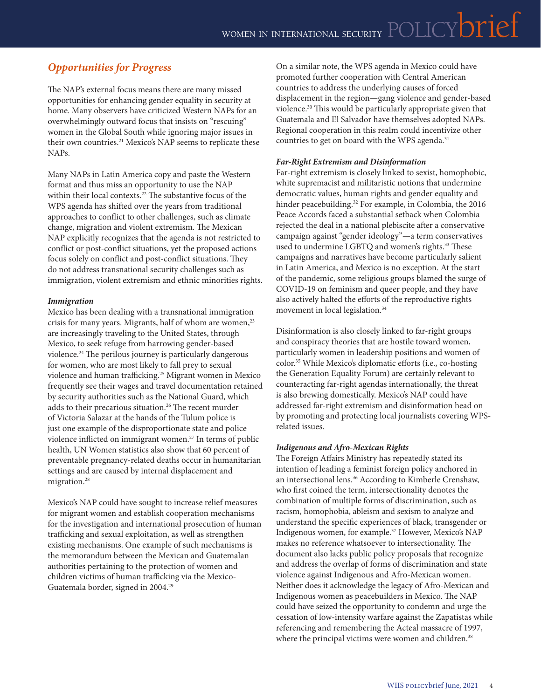## *Opportunities for Progress*

The NAP's external focus means there are many missed opportunities for enhancing gender equality in security at home. Many observers have criticized Western NAPs for an overwhelmingly outward focus that insists on "rescuing" women in the Global South while ignoring major issues in their own countries.<sup>21</sup> Mexico's NAP seems to replicate these NAPs.

Many NAPs in Latin America copy and paste the Western format and thus miss an opportunity to use the NAP within their local contexts.<sup>22</sup> The substantive focus of the WPS agenda has shifted over the years from traditional approaches to conflict to other challenges, such as climate change, migration and violent extremism. The Mexican NAP explicitly recognizes that the agenda is not restricted to conflict or post-conflict situations, yet the proposed actions focus solely on conflict and post-conflict situations. They do not address transnational security challenges such as immigration, violent extremism and ethnic minorities rights.

#### *Immigration*

Mexico has been dealing with a transnational immigration crisis for many years. Migrants, half of whom are women,<sup>23</sup> are increasingly traveling to the United States, through Mexico, to seek refuge from harrowing gender-based violence.24 The perilous journey is particularly dangerous for women, who are most likely to fall prey to sexual violence and human trafficking.<sup>25</sup> Migrant women in Mexico frequently see their wages and travel documentation retained by security authorities such as the National Guard, which adds to their precarious situation.26 The recent murder of Victoria Salazar at the hands of the Tulum police is just one example of the disproportionate state and police violence inflicted on immigrant women.<sup>27</sup> In terms of public health, UN Women statistics also show that 60 percent of preventable pregnancy-related deaths occur in humanitarian settings and are caused by internal displacement and migration.<sup>28</sup>

Mexico's NAP could have sought to increase relief measures for migrant women and establish cooperation mechanisms for the investigation and international prosecution of human trafficking and sexual exploitation, as well as strengthen existing mechanisms. One example of such mechanisms is the memorandum between the Mexican and Guatemalan authorities pertaining to the protection of women and children victims of human trafficking via the Mexico-Guatemala border, signed in 2004.29

On a similar note, the WPS agenda in Mexico could have promoted further cooperation with Central American countries to address the underlying causes of forced displacement in the region—gang violence and gender-based violence.30 This would be particularly appropriate given that Guatemala and El Salvador have themselves adopted NAPs. Regional cooperation in this realm could incentivize other countries to get on board with the WPS agenda.<sup>31</sup>

#### *Far-Right Extremism and Disinformation*

Far-right extremism is closely linked to sexist, homophobic, white supremacist and militaristic notions that undermine democratic values, human rights and gender equality and hinder peacebuilding.<sup>32</sup> For example, in Colombia, the 2016 Peace Accords faced a substantial setback when Colombia rejected the deal in a national plebiscite after a conservative campaign against "gender ideology"—a term conservatives used to undermine LGBTQ and women's rights.<sup>33</sup> These campaigns and narratives have become particularly salient in Latin America, and Mexico is no exception. At the start of the pandemic, some religious groups blamed the surge of COVID-19 on feminism and queer people, and they have also actively halted the efforts of the reproductive rights movement in local legislation.34

Disinformation is also closely linked to far-right groups and conspiracy theories that are hostile toward women, particularly women in leadership positions and women of color.35 While Mexico's diplomatic efforts (i.e., co-hosting the Generation Equality Forum) are certainly relevant to counteracting far-right agendas internationally, the threat is also brewing domestically. Mexico's NAP could have addressed far-right extremism and disinformation head on by promoting and protecting local journalists covering WPSrelated issues.

#### *Indigenous and Afro-Mexican Rights*

The Foreign Affairs Ministry has repeatedly stated its intention of leading a feminist foreign policy anchored in an intersectional lens.36 According to Kimberle Crenshaw, who first coined the term, intersectionality denotes the combination of multiple forms of discrimination, such as racism, homophobia, ableism and sexism to analyze and understand the specific experiences of black, transgender or Indigenous women, for example.37 However, Mexico's NAP makes no reference whatsoever to intersectionality. The document also lacks public policy proposals that recognize and address the overlap of forms of discrimination and state violence against Indigenous and Afro-Mexican women. Neither does it acknowledge the legacy of Afro-Mexican and Indigenous women as peacebuilders in Mexico. The NAP could have seized the opportunity to condemn and urge the cessation of low-intensity warfare against the Zapatistas while referencing and remembering the Acteal massacre of 1997, where the principal victims were women and children.<sup>38</sup>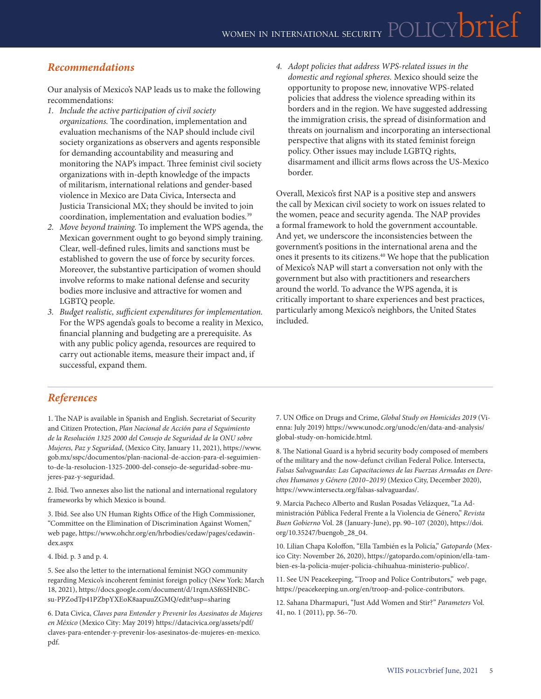## *Recommendations*

Our analysis of Mexico's NAP leads us to make the following recommendations:

*1. Include the active participation of civil society* 

*organizations.* The coordination, implementation and evaluation mechanisms of the NAP should include civil society organizations as observers and agents responsible for demanding accountability and measuring and monitoring the NAP's impact. Three feminist civil society organizations with in-depth knowledge of the impacts of militarism, international relations and gender-based violence in Mexico are Data Civica, Intersecta and Justicia Transicional MX; they should be invited to join coordination, implementation and evaluation bodies.<sup>39</sup>

- *2. Move beyond training.* To implement the WPS agenda, the Mexican government ought to go beyond simply training. Clear, well-defined rules, limits and sanctions must be established to govern the use of force by security forces. Moreover, the substantive participation of women should involve reforms to make national defense and security bodies more inclusive and attractive for women and LGBTQ people.
- *3. Budget realistic, sufficient expenditures for implementation.*  For the WPS agenda's goals to become a reality in Mexico, financial planning and budgeting are a prerequisite. As with any public policy agenda, resources are required to carry out actionable items, measure their impact and, if successful, expand them.

*4. Adopt policies that address WPS-related issues in the domestic and regional spheres.* Mexico should seize the opportunity to propose new, innovative WPS-related policies that address the violence spreading within its borders and in the region. We have suggested addressing the immigration crisis, the spread of disinformation and threats on journalism and incorporating an intersectional perspective that aligns with its stated feminist foreign policy. Other issues may include LGBTQ rights, disarmament and illicit arms flows across the US-Mexico border.

Overall, Mexico's first NAP is a positive step and answers the call by Mexican civil society to work on issues related to the women, peace and security agenda. The NAP provides a formal framework to hold the government accountable. And yet, we underscore the inconsistencies between the government's positions in the international arena and the ones it presents to its citizens.40 We hope that the publication of Mexico's NAP will start a conversation not only with the government but also with practitioners and researchers around the world. To advance the WPS agenda, it is critically important to share experiences and best practices, particularly among Mexico's neighbors, the United States included.

### *References*

1. The NAP is available in Spanish and English. Secretariat of Security and Citizen Protection, *Plan Nacional de Acción para el Seguimiento de la Resolución 1325 2000 del Consejo de Seguridad de la ONU sobre Mujeres, Paz y Seguridad*, (Mexico City, January 11, 2021), [https://www.](https://www.gob.mx/sspc/documentos/plan-nacional-de-accion-para-el-seguimiento-de-la-resolucion-1325-2000-del-consejo-de-seguridad-sobre-mujeres-paz-y-seguridad) [gob.mx/sspc/documentos/plan-nacional-de-accion-para-el-seguimien](https://www.gob.mx/sspc/documentos/plan-nacional-de-accion-para-el-seguimiento-de-la-resolucion-1325-2000-del-consejo-de-seguridad-sobre-mujeres-paz-y-seguridad)[to-de-la-resolucion-1325-2000-del-consejo-de-seguridad-sobre-mu](https://www.gob.mx/sspc/documentos/plan-nacional-de-accion-para-el-seguimiento-de-la-resolucion-1325-2000-del-consejo-de-seguridad-sobre-mujeres-paz-y-seguridad)[jeres-paz-y-seguridad.](https://www.gob.mx/sspc/documentos/plan-nacional-de-accion-para-el-seguimiento-de-la-resolucion-1325-2000-del-consejo-de-seguridad-sobre-mujeres-paz-y-seguridad)

2. Ibid. Two annexes also list the national and international regulatory frameworks by which Mexico is bound.

3. Ibid. See also UN Human Rights Office of the High Commissioner, "Committee on the Elimination of Discrimination Against Women," web page, [https://www.ohchr.org/en/hrbodies/cedaw/pages/cedawin](https://www.ohchr.org/en/hrbodies/cedaw/pages/cedawindex.aspx)[dex.aspx](https://www.ohchr.org/en/hrbodies/cedaw/pages/cedawindex.aspx)

4. Ibid. p. 3 and p. 4.

5. See also the letter to the international feminist NGO community regarding Mexico's incoherent feminist foreign policy (New York: March 18, 2021), [https://docs.google.com/document/d/1rqmASf6SHNBC](https://docs.google.com/document/d/1rqmASf6SHNBCsu-PPZodTp41PZbpYXEoK8aapuuZGMQ/edit?usp=sharing)[su-PPZodTp41PZbpYXEoK8aapuuZGMQ/edit?usp=sharing](https://docs.google.com/document/d/1rqmASf6SHNBCsu-PPZodTp41PZbpYXEoK8aapuuZGMQ/edit?usp=sharing)

6. Data Civica, *Claves para Entender y Prevenir los Asesinatos de Mujeres en México* (Mexico City: May 2019) [https://datacivica.org/assets/pdf/](https://datacivica.org/assets/pdf/claves-para-entender-y-prevenir-los-asesinatos-de-mujeres-en-mexico.pdf) [claves-para-entender-y-prevenir-los-asesinatos-de-mujeres-en-mexico.](https://datacivica.org/assets/pdf/claves-para-entender-y-prevenir-los-asesinatos-de-mujeres-en-mexico.pdf) [pdf](https://datacivica.org/assets/pdf/claves-para-entender-y-prevenir-los-asesinatos-de-mujeres-en-mexico.pdf).

7. UN Office on Drugs and Crime, *Global Study on Homicides 2019* (Vienna: July 2019) [https://www.unodc.org/unodc/en/data-and-analysis/](https://www.unodc.org/unodc/en/data-and-analysis/global-study-on-homicide.html) [global-study-on-homicide.html.](https://www.unodc.org/unodc/en/data-and-analysis/global-study-on-homicide.html)

8. The National Guard is a hybrid security body composed of members of the military and the now-defunct civilian Federal Police. Intersecta, *Falsas Salvaguardas: Las Capacitaciones de las Fuerzas Armadas en Derechos Humanos y Género (2010–2019)* (Mexico City, December 2020), <https://www.intersecta.org/falsas-salvaguardas/>.

9. Marcia Pacheco Alberto and Ruslan Posadas Velázquez, "La Administración Pública Federal Frente a la Violencia de Género," *Revista Buen Gobierno* Vol. 28 (January-June), pp. 90–107 (2020), [https://doi.](https://doi.org/10.35247/buengob_28_04) [org/10.35247/buengob\\_28\\_04](https://doi.org/10.35247/buengob_28_04).

10. Lilian Chapa Koloffon, "Ella También es la Policía," *Gatopardo* (Mexico City: November 26, 2020), [https://gatopardo.com/opinion/ella-tam](https://gatopardo.com/opinion/ella-tambien-es-la-policia-mujer-policia-chihuahua-ministerio-publico/)[bien-es-la-policia-mujer-policia-chihuahua-ministerio-publico/](https://gatopardo.com/opinion/ella-tambien-es-la-policia-mujer-policia-chihuahua-ministerio-publico/).

11. See UN Peacekeeping, "Troop and Police Contributors," web page, <https://peacekeeping.un.org/en/troop-and-police-contributors>.

12. Sahana Dharmapuri, "Just Add Women and Stir?" *Parameters* Vol. 41, no. 1 (2011), pp. 56–70.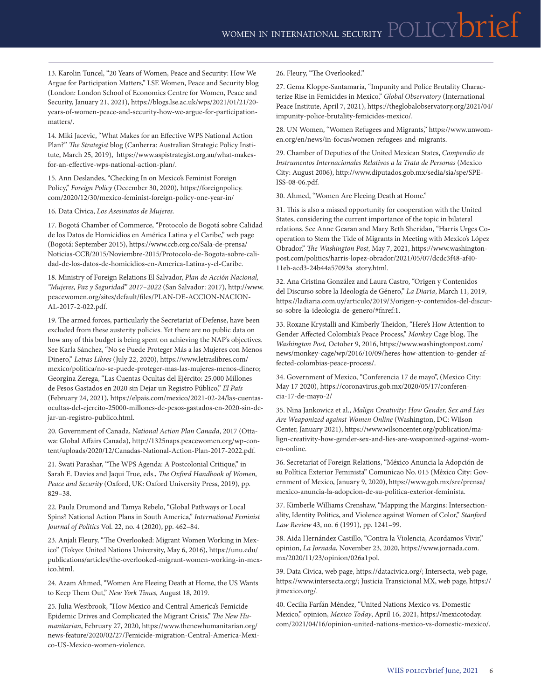13. Karolin Tuncel, "20 Years of Women, Peace and Security: How We Argue for Participation Matters," LSE Women, Peace and Security blog (London: London School of Economics Centre for Women, Peace and Security, January 21, 2021), [https://blogs.lse.ac.uk/wps/2021/01/21/20](https://blogs.lse.ac.uk/wps/2021/01/21/20-years-of-women-peace-and-security-how-we-argue-for-participation-matters/) [years-of-women-peace-and-security-how-we-argue-for-participation](https://blogs.lse.ac.uk/wps/2021/01/21/20-years-of-women-peace-and-security-how-we-argue-for-participation-matters/)[matters/](https://blogs.lse.ac.uk/wps/2021/01/21/20-years-of-women-peace-and-security-how-we-argue-for-participation-matters/).

14. Miki Jacevic, "What Makes for an Effective WPS National Action Plan?" *The Strategist* blog (Canberra: Australian Strategic Policy Institute, March 25, 2019), [https://www.aspistrategist.org.au/what-makes](https://www.aspistrategist.org.au/what-makes-for-an-effective-wps-national-action-plan/)[for-an-effective-wps-national-action-plan/](https://www.aspistrategist.org.au/what-makes-for-an-effective-wps-national-action-plan/).

15. Ann Deslandes, "Checking In on Mexico's Feminist Foreign Policy," *Foreign Policy* (December 30, 2020), [https://foreignpolicy.](https://foreignpolicy.com/2020/12/30/mexico-feminist-foreign-policy-one-year-in/) [com/2020/12/30/mexico-feminist-foreign-policy-one-year-in/](https://foreignpolicy.com/2020/12/30/mexico-feminist-foreign-policy-one-year-in/)

16. Data Cívica, *Los Asesinatos de Mujeres.*

17. Bogotá Chamber of Commerce, "Protocolo de Bogotá sobre Calidad de los Datos de Homicidios en América Latina y el Caribe," web page (Bogotá: September 2015), [https://www.ccb.org.co/Sala-de-prensa/](https://www.ccb.org.co/Sala-de-prensa/Noticias-CCB/2015/Noviembre-2015/Protocolo-de-Bogota-sobre-calidad-de-los-datos-de-homicidios-en-America-Latina-y-el-Caribe) [Noticias-CCB/2015/Noviembre-2015/Protocolo-de-Bogota-sobre-cali](https://www.ccb.org.co/Sala-de-prensa/Noticias-CCB/2015/Noviembre-2015/Protocolo-de-Bogota-sobre-calidad-de-los-datos-de-homicidios-en-America-Latina-y-el-Caribe)[dad-de-los-datos-de-homicidios-en-America-Latina-y-el-Caribe](https://www.ccb.org.co/Sala-de-prensa/Noticias-CCB/2015/Noviembre-2015/Protocolo-de-Bogota-sobre-calidad-de-los-datos-de-homicidios-en-America-Latina-y-el-Caribe).

18. Ministry of Foreign Relations El Salvador, *Plan de Acción Nacional, "Mujeres, Paz y Seguridad" 2017–2022* (San Salvador: 2017), [http://www.](http://www.peacewomen.org/sites/default/files/PLAN-DE-ACCION-NACIONAL-2017-2-022.pdf) [peacewomen.org/sites/default/files/PLAN-DE-ACCION-NACION-](http://www.peacewomen.org/sites/default/files/PLAN-DE-ACCION-NACIONAL-2017-2-022.pdf)[AL-2017-2-022.pdf.](http://www.peacewomen.org/sites/default/files/PLAN-DE-ACCION-NACIONAL-2017-2-022.pdf)

19. The armed forces, particularly the Secretariat of Defense, have been excluded from these austerity policies. Yet there are no public data on how any of this budget is being spent on achieving the NAP's objectives. See Karla Sánchez, "No se Puede Proteger Más a las Mujeres con Menos Dinero," *Letras Libres* (July 22, 2020), [https://www.letraslibres.com/](https://www.letraslibres.com/mexico/politica/no-se-puede-proteger-mas-las-mujeres-menos-dinero) [mexico/politica/no-se-puede-proteger-mas-las-mujeres-menos-dinero](https://www.letraslibres.com/mexico/politica/no-se-puede-proteger-mas-las-mujeres-menos-dinero); Georgina Zerega, "Las Cuentas Ocultas del Ejército: 25.000 Millones de Pesos Gastados en 2020 sin Dejar un Registro Público," *El País* (February 24, 2021), [https://elpais.com/mexico/2021-02-24/las-cuentas](https://elpais.com/mexico/2021-02-24/las-cuentas-ocultas-del-ejercito-25000-millones-de-pesos-gastados-en-2020-sin-dejar-un-registro-publico.html)[ocultas-del-ejercito-25000-millones-de-pesos-gastados-en-2020-sin-de](https://elpais.com/mexico/2021-02-24/las-cuentas-ocultas-del-ejercito-25000-millones-de-pesos-gastados-en-2020-sin-dejar-un-registro-publico.html)[jar-un-registro-publico.html](https://elpais.com/mexico/2021-02-24/las-cuentas-ocultas-del-ejercito-25000-millones-de-pesos-gastados-en-2020-sin-dejar-un-registro-publico.html).

20. Government of Canada, *National Action Plan Canada*, 2017 (Ottawa: Global Affairs Canada), [http://1325naps.peacewomen.org/wp-con](http://1325naps.peacewomen.org/wp-content/uploads/2020/12/Canadas-National-Action-Plan-2017-2022.pdf)[tent/uploads/2020/12/Canadas-National-Action-Plan-2017-2022.pdf.](http://1325naps.peacewomen.org/wp-content/uploads/2020/12/Canadas-National-Action-Plan-2017-2022.pdf)

21. Swati Parashar, "The WPS Agenda: A Postcolonial Critique," in Sarah E. Davies and Jaqui True, eds., *The Oxford Handbook of Women, Peace and Security* (Oxford, UK: Oxford University Press, 2019), pp. 829–38.

22. Paula Drumond and Tamya Rebelo, "Global Pathways or Local Spins? National Action Plans in South America," *International Feminist Journal of Politics* Vol. 22, no. 4 (2020), pp. 462–84.

23. Anjali Fleury, "The Overlooked: Migrant Women Working in Mexico" (Tokyo: United Nations University, May 6, 2016), [https://unu.edu/](https://unu.edu/publications/articles/the-overlooked-migrant-women-working-in-mexico.html) [publications/articles/the-overlooked-migrant-women-working-in-mex](https://unu.edu/publications/articles/the-overlooked-migrant-women-working-in-mexico.html)[ico.html](https://unu.edu/publications/articles/the-overlooked-migrant-women-working-in-mexico.html).

24. Azam Ahmed, "Women Are Fleeing Death at Home, the US Wants to Keep Them Out," *New York Times,* August 18, 2019.

25. Julia Westbrook, "How Mexico and Central America's Femicide Epidemic Drives and Complicated the Migrant Crisis," *The New Humanitarian*, February 27, 2020, [https://www.thenewhumanitarian.org/](https://www.thenewhumanitarian.org/news-feature/2020/02/27/Femicide-migration-Central-America-Mexico-US-Mexico-women-violence) [news-feature/2020/02/27/Femicide-migration-Central-America-Mexi](https://www.thenewhumanitarian.org/news-feature/2020/02/27/Femicide-migration-Central-America-Mexico-US-Mexico-women-violence)[co-US-Mexico-women-violence.](https://www.thenewhumanitarian.org/news-feature/2020/02/27/Femicide-migration-Central-America-Mexico-US-Mexico-women-violence)

26. Fleury, "The Overlooked."

27. Gema Kloppe-Santamaría, "Impunity and Police Brutality Characterize Rise in Femicides in Mexico," *Global Observatory* (International Peace Institute, April 7, 2021), [https://theglobalobservatory.org/2021/04/](https://theglobalobservatory.org/2021/04/impunity-police-brutality-femicides-mexico/) [impunity-police-brutality-femicides-mexico/](https://theglobalobservatory.org/2021/04/impunity-police-brutality-femicides-mexico/).

28. UN Women, "Women Refugees and Migrants," [https://www.unwom](https://www.unwomen.org/en/news/in-focus/women-refugees-and-migrants)[en.org/en/news/in-focus/women-refugees-and-migrants](https://www.unwomen.org/en/news/in-focus/women-refugees-and-migrants).

29. Chamber of Deputies of the United Mexican States, *Compendio de Instrumentos Internacionales Relativos a la Trata de Personas* (Mexico City: August 2006), [http://www.diputados.gob.mx/sedia/sia/spe/SPE-](http://www.diputados.gob.mx/sedia/sia/spe/SPE-ISS-08-06.pdf)[ISS-08-06.pdf](http://www.diputados.gob.mx/sedia/sia/spe/SPE-ISS-08-06.pdf).

30. Ahmed, "Women Are Fleeing Death at Home."

31. This is also a missed opportunity for cooperation with the United States, considering the current importance of the topic in bilateral relations. See Anne Gearan and Mary Beth Sheridan, "Harris Urges Cooperation to Stem the Tide of Migrants in Meeting with Mexico's López Obrador," *The Washington Post*, May 7, 2021, [https://www.washington](https://www.washingtonpost.com/politics/harris-lopez-obrador/2021/05/07/dcdc3f48-af40-11eb-acd3-24b44a57093a_story.html)[post.com/politics/harris-lopez-obrador/2021/05/07/dcdc3f48-af40-](https://www.washingtonpost.com/politics/harris-lopez-obrador/2021/05/07/dcdc3f48-af40-11eb-acd3-24b44a57093a_story.html) [11eb-acd3-24b44a57093a\\_story.html.](https://www.washingtonpost.com/politics/harris-lopez-obrador/2021/05/07/dcdc3f48-af40-11eb-acd3-24b44a57093a_story.html)

32. Ana Cristina González and Laura Castro, "Origen y Contenidos del Discurso sobre la Ideología de Género," *La Diaria*, March 11, 2019, https://ladiaria.com.uy/articulo/2019/3/origen-y-contenidos-del-discurso-sobre-la-ideologia-de-genero/#fnref:1.

33. Roxane Krystalli and Kimberly Theidon, "Here's How Attention to Gender Affected Colombia's Peace Process," *Monkey* Cage blog, The *Washington Post,* October 9, 2016, [https://www.washingtonpost.com/](https://www.washingtonpost.com/news/monkey-cage/wp/2016/10/09/heres-how-attention-to-gender-affected-colombias-peace-process/) [news/monkey-cage/wp/2016/10/09/heres-how-attention-to-gender-af](https://www.washingtonpost.com/news/monkey-cage/wp/2016/10/09/heres-how-attention-to-gender-affected-colombias-peace-process/)[fected-colombias-peace-process/.](https://www.washingtonpost.com/news/monkey-cage/wp/2016/10/09/heres-how-attention-to-gender-affected-colombias-peace-process/)

34. Government of Mexico, "Conferencia 17 de mayo", (Mexico City: May 17 2020), https://coronavirus.gob.mx/2020/05/17/conferencia-17-de-mayo-2/

35. Nina Jankowicz et al., *Malign Creativity: How Gender, Sex and Lies Are Weaponized against Women Online* (Washington, DC: Wilson Center, January 2021), [https://www.wilsoncenter.org/publication/ma](https://www.wilsoncenter.org/publication/malign-creativity-how-gender-sex-and-lies-are-weaponized-against-women-online)[lign-creativity-how-gender-sex-and-lies-are-weaponized-against-wom](https://www.wilsoncenter.org/publication/malign-creativity-how-gender-sex-and-lies-are-weaponized-against-women-online)[en-online](https://www.wilsoncenter.org/publication/malign-creativity-how-gender-sex-and-lies-are-weaponized-against-women-online).

36. Secretariat of Foreign Relations, "México Anuncia la Adopción de su Política Exterior Feminista" Comunicao No. 015 (México City: Government of Mexico, January 9, 2020), [https://www.gob.mx/sre/prensa/](https://www.gob.mx/sre/prensa/mexico-anuncia-la-adopcion-de-su-politica-exterior-feminista) [mexico-anuncia-la-adopcion-de-su-politica-exterior-feminista](https://www.gob.mx/sre/prensa/mexico-anuncia-la-adopcion-de-su-politica-exterior-feminista).

37. Kimberle Williams Crenshaw, "Mapping the Margins: Intersectionality, Identity Politics, and Violence against Women of Color," *Stanford Law Review* 43, no. 6 (1991), pp. 1241–99.

38. Aida Hernández Castillo, "Contra la Violencia, Acordamos Vivir," opinion, *La Jornada*, November 23, 2020, [https://www.jornada.com.](https://www.jornada.com.mx/2020/11/23/opinion/026a1pol) [mx/2020/11/23/opinion/026a1pol.](https://www.jornada.com.mx/2020/11/23/opinion/026a1pol)

39. Data Civica, web page, [https://datacivica.org/;](https://datacivica.org/) Intersecta, web page, [https://www.intersecta.org/;](https://www.intersecta.org/) Justicia Transicional MX, web page, [https://](https://jtmexico.org/) [jtmexico.org/.](https://jtmexico.org/)

40. Cecilia Farfán Méndez, "United Nations Mexico vs. Domestic Mexico," opinion, *Mexico Today*, April 16, 2021, [https://mexicotoday.](https://mexicotoday.com/2021/04/16/opinion-united-nations-mexico-vs-domestic-mexico/) [com/2021/04/16/opinion-united-nations-mexico-vs-domestic-mexico/](https://mexicotoday.com/2021/04/16/opinion-united-nations-mexico-vs-domestic-mexico/).